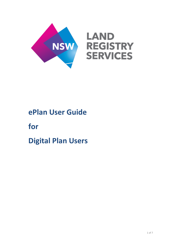

# **ePlan User Guide**

**for** 

**Digital Plan Users**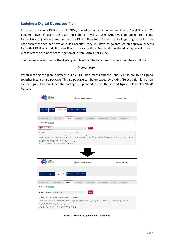## **Lodging a Digital Deposited Plan**

In order to lodge a Digital plan in NSW, the ePlan account holder must be a 'level 3' user. To become 'level 3' user, the user must be a 'level 2' user (Approved to Lodge TIFF plans for registration) already and contact the Digital Plans team for assistance in getting started. If the user currently does not have an ePlan account, they will have to go through an approval process for both TIFF files and digital plan files at the same time. For details on the ePlan approval process, please refer to the User Access section of 'ePlan Portal User Guide'.

The naming convention for the digital plan file within the lodgment bundle should be as follows:

### *[name]\_p.xml*

When creating the plan lodgment bundle, TIFF documents and the LandXML file are to be zipped together into a single package. This zip package can be uploaded by clicking 'Select a zip file' button as per Figure 1 below. Once the package is uploaded, as per the second figure below, click 'Next' button.

| LAND<br>NSV<br><b>REGISTRY</b><br><b>SERVICES</b>                                                                                                                                                                                                                                              |                 |               |                                        | <b>Back to NSW LRS Online</b> |                                                                                                                                                                                                                                                                                                                       |            | Logged in as hchoi - |  |
|------------------------------------------------------------------------------------------------------------------------------------------------------------------------------------------------------------------------------------------------------------------------------------------------|-----------------|---------------|----------------------------------------|-------------------------------|-----------------------------------------------------------------------------------------------------------------------------------------------------------------------------------------------------------------------------------------------------------------------------------------------------------------------|------------|----------------------|--|
| ePlan Home<br>myPlans                                                                                                                                                                                                                                                                          | Lodge your Plan |               | Re-Lodge your Plan<br><b>Utilities</b> |                               |                                                                                                                                                                                                                                                                                                                       |            |                      |  |
| Lodgment Type $\checkmark$                                                                                                                                                                                                                                                                     | Plan Type √     | <b>Upload</b> | Validation                             | <b>Plan Details</b>           | <b>Title/Plan/Note</b>                                                                                                                                                                                                                                                                                                | <b>LGA</b> | Summary              |  |
| <b>Lodgment ID: 205053</b>                                                                                                                                                                                                                                                                     |                 |               |                                        |                               |                                                                                                                                                                                                                                                                                                                       |            |                      |  |
| Select a zip file*                                                                                                                                                                                                                                                                             |                 |               |                                        | <b>Next</b>                   |                                                                                                                                                                                                                                                                                                                       |            |                      |  |
| By clicking on the Next button to upload the package for validation:<br>date of registration of the plan.<br>Cl. 52 Conveyancing (General) Regulation 2013,<br>Cl. 33 Strata Schemes (Freehold Development) Regulation 2012,<br>Cl. 35 Strata Schemes (Leasehold Development) Regulation 2012. |                 |               |                                        |                               | I declare that any image of a signed form, instrument or document lodged herewith for registration of a plan, was created from the form, instrument or<br>document bearing the original of the signature or seals. I agree to hold the original forms, instruments or documents for a period of 7 years following the |            |                      |  |
| LAND<br><b>NSW</b>                                                                                                                                                                                                                                                                             |                 |               |                                        |                               |                                                                                                                                                                                                                                                                                                                       |            |                      |  |
| <b>REGISTRY</b><br><b>SERVICES</b>                                                                                                                                                                                                                                                             |                 |               |                                        | Back to NSW LRS Online        |                                                                                                                                                                                                                                                                                                                       |            | Logged in as hchoi - |  |
| myPlans<br>ePlan Home                                                                                                                                                                                                                                                                          | Lodge your Plan |               | Re-Lodge your Plan<br><b>Utilities</b> |                               |                                                                                                                                                                                                                                                                                                                       |            |                      |  |
| Lodgment Type √                                                                                                                                                                                                                                                                                | Plan Type ✔     | <b>Upload</b> | Validation                             | <b>Plan Details</b>           | <b>Title/Plan/Note</b>                                                                                                                                                                                                                                                                                                | <b>LGA</b> | Summary              |  |
| <b>Lodgment ID: 205053</b>                                                                                                                                                                                                                                                                     |                 |               |                                        |                               |                                                                                                                                                                                                                                                                                                                       |            |                      |  |
| Select a zip file*                                                                                                                                                                                                                                                                             | Dummyxml_P.zip  |               |                                        | <b>Next</b>                   |                                                                                                                                                                                                                                                                                                                       |            |                      |  |
| By clicking on the Next button to upload the package for validation:<br>date of registration of the plan.<br>Cl. 52 Conveyancing (General) Regulation 2013,<br>Cl. 33 Strata Schemes (Freehold Development) Regulation 2012,<br>Cl. 35 Strata Schemes (Leasehold Development) Regulation 2012. |                 |               |                                        |                               | I declare that any image of a signed form, instrument or document lodged herewith for registration of a plan, was created from the form, instrument or<br>document bearing the original of the signature or seals. I agree to hold the original forms, instruments or documents for a period of 7 years following the |            |                      |  |

**Figure 1: Upload Stage of ePlan Lodgment**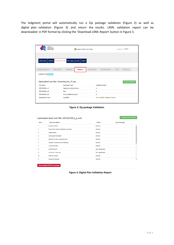The lodgment portal will automatically run a Zip package validation (Figure 2) as well as digital plan validation (Figure 3) and return the results. LXML validation report can be downloaded in PDF format by clicking the 'Download LXML Report' button in Figure 3.

| LAND<br><b>REGISTRY</b><br><b>NSW</b><br><b>SERVICES</b> | <b>Back to NSW LRS Online</b>                             |                                               | Logged in as hchoi -    |
|----------------------------------------------------------|-----------------------------------------------------------|-----------------------------------------------|-------------------------|
| ePlan Home<br>myPlans                                    | Re-Lodge your Plan<br>Lodge your Plan<br><b>Utilities</b> |                                               |                         |
| Lodgment Type √                                          | Upload V<br>Plan Type √<br><b>Validation</b>              | <b>Title/Plan/Note</b><br><b>Plan Details</b> | <b>LGA</b><br>Summary   |
| Lodgment ID: 205053                                      | Uploaded zip file: Dummyxml_P.zip                         |                                               | <b>Download Details</b> |
| <b>File Name</b>                                         | <b>Document Type</b>                                      | <b>Validation Result</b>                      |                         |
| DP1201829_s.tif                                          | <b>Signatures/Admin Forms</b>                             | ✔                                             |                         |
| DP1201829 p.tif                                          | Plan                                                      | ✓                                             |                         |
| DP1201829 b.tif                                          | <b>Section 88B Instrument</b>                             | ✔                                             |                         |
| Dummyxml P.xml                                           | LandXML                                                   | <b>See LandXML Validation Report</b>          |                         |

**Figure 2: Zip package Validation**

| Rule                    | <b>Rule Description</b>               | <b>Status</b>         | <b>Error Message</b> |
|-------------------------|---------------------------------------|-----------------------|----------------------|
|                         | <b>Schema Check</b>                   | Passed                |                      |
| $\overline{\mathbf{2}}$ | Parcel line check (minimum one line)  | Passed                |                      |
| 3                       | Urban/Rural                           | Passed                |                      |
| 4                       | Surveyed/Compiled                     | Passed                |                      |
| 5                       | Misclose & Area calculation(s)        | Passed                |                      |
| 6                       | <b>Control Traverse Loop Misclose</b> | <b>Passed</b>         |                      |
| 7                       | <b>Lot Area exists</b>                | Passed                |                      |
| 8                       | <b>SCIMS Sketch</b>                   | <b>Not Applicable</b> |                      |
| 9                       | <b>Lot Area - Part Lots</b>           | <b>Not Applicable</b> |                      |
| 10 <sup>°</sup>         | Date of Survey                        | Passed                |                      |
| 11                      | <b>Datum Terminals</b>                | Passed                |                      |

**Figure 3: Digital Plan Validation Report**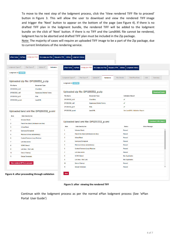To move to the next step of the lodgment process, click the 'View rendered TIFF file to proceed' button in Figure 3. This will allow the user to download and view the rendered TIFF image and trigger the 'Next' button to appear on the bottom of the page (see Figure 4). If there is no drafted TIFF plan in the lodgment bundle, the rendered TIFF will be added to the lodgment bundle on the click of 'Next' button. If there is no TIFF and the LandXML file cannot be rendered, lodgment has to be aborted and drafted TIFF plan must be included in the Zip package.

Note: The majority of cases will require an uploaded TIFF image to be a part of the Zip package, due to current limitations of the rendering service.

| Uploaded zip file: DP1255332_p.zip<br><b>Document Type</b><br><b>Checklists</b><br><b>Signatures/Admin Forms</b><br>Plan<br>LandXML | Lodgment Type √<br>Lodgment ID: 1037130                                                                                                                                                                                                                                                                                                                                      | Plan Type √<br><b>Upload</b> ✔        | <b>Plan Details</b><br><b>Validation</b>                                 | <b>Title/Plan/Note</b>                  | <b>LGA</b><br>Summary                               |
|-------------------------------------------------------------------------------------------------------------------------------------|------------------------------------------------------------------------------------------------------------------------------------------------------------------------------------------------------------------------------------------------------------------------------------------------------------------------------------------------------------------------------|---------------------------------------|--------------------------------------------------------------------------|-----------------------------------------|-----------------------------------------------------|
|                                                                                                                                     |                                                                                                                                                                                                                                                                                                                                                                              |                                       |                                                                          |                                         |                                                     |
|                                                                                                                                     |                                                                                                                                                                                                                                                                                                                                                                              |                                       |                                                                          |                                         |                                                     |
|                                                                                                                                     |                                                                                                                                                                                                                                                                                                                                                                              |                                       |                                                                          |                                         |                                                     |
|                                                                                                                                     |                                                                                                                                                                                                                                                                                                                                                                              |                                       |                                                                          |                                         |                                                     |
|                                                                                                                                     |                                                                                                                                                                                                                                                                                                                                                                              | Uploaded zip file: DP1255332_p.zip    |                                                                          |                                         | <b>Download Details</b>                             |
|                                                                                                                                     | File Name                                                                                                                                                                                                                                                                                                                                                                    | Document Type                         |                                                                          | <b>Validation Result</b>                |                                                     |
|                                                                                                                                     | DP1255332_k.tif                                                                                                                                                                                                                                                                                                                                                              | <b>Checklists</b>                     |                                                                          | ✔                                       |                                                     |
|                                                                                                                                     | DP1255332_s.tif                                                                                                                                                                                                                                                                                                                                                              | <b>Signatures/Admin Forms</b>         |                                                                          | ✔                                       |                                                     |
|                                                                                                                                     |                                                                                                                                                                                                                                                                                                                                                                              | Plan                                  |                                                                          | ✔                                       |                                                     |
|                                                                                                                                     | Rule                                                                                                                                                                                                                                                                                                                                                                         |                                       |                                                                          | <b>Status</b>                           | <b>Download LXML Report</b><br><b>Error Message</b> |
|                                                                                                                                     | 1                                                                                                                                                                                                                                                                                                                                                                            | <b>Schema Check</b>                   |                                                                          | <b>Passed</b>                           |                                                     |
|                                                                                                                                     | $\overline{2}$                                                                                                                                                                                                                                                                                                                                                               | Parcel line check (minimum one line)  |                                                                          | <b>Passed</b>                           |                                                     |
|                                                                                                                                     | 3                                                                                                                                                                                                                                                                                                                                                                            | Urban/Rural                           |                                                                          | Passed                                  |                                                     |
|                                                                                                                                     | 4                                                                                                                                                                                                                                                                                                                                                                            | Surveyed/Compiled                     |                                                                          | Passed                                  |                                                     |
|                                                                                                                                     | 5                                                                                                                                                                                                                                                                                                                                                                            | Misclose & Area calculation(s)        |                                                                          | Passed                                  |                                                     |
|                                                                                                                                     | 6                                                                                                                                                                                                                                                                                                                                                                            | <b>Control Traverse Loop Misclose</b> |                                                                          | Passed                                  |                                                     |
|                                                                                                                                     | $\overline{7}$                                                                                                                                                                                                                                                                                                                                                               | <b>Lot Area exists</b>                |                                                                          | <b>Passed</b>                           |                                                     |
|                                                                                                                                     | 8                                                                                                                                                                                                                                                                                                                                                                            | <b>SCIMS Sketch</b>                   |                                                                          | <b>Not Applicable</b>                   |                                                     |
|                                                                                                                                     | 9                                                                                                                                                                                                                                                                                                                                                                            | Lot Area - Part Lots                  |                                                                          | <b>Not Applicable</b>                   |                                                     |
| View rendered tiff file to proceed                                                                                                  | 10                                                                                                                                                                                                                                                                                                                                                                           | <b>Date of Survey</b>                 |                                                                          | Passed                                  |                                                     |
|                                                                                                                                     | Uploaded land xml file: DP1255332_p.xml<br><b>Rule Description</b><br><b>Schema Check</b><br>Parcel line check (minimum one line)<br>Urban/Rural<br>Surveyed/Compiled<br>Misclose & Area calculation(s)<br><b>Control Traverse Loop Misclose</b><br><b>Lot Area exists</b><br><b>SCIMS Sketch</b><br>Lot Area - Part Lots<br><b>Date of Survey</b><br><b>Datum Terminals</b> |                                       | DP1255332_p.tif<br>DP1255332_p.xml<br>LandXML<br><b>Rule Description</b> | Uploaded land xml file: DP1255332_p.xml | <b>See LandXML Validation Report</b>                |

#### **Figure 5: after viewing the rendered TIFF**

Continue with the lodgment process as per the normal ePlan lodgment process (See 'ePlan Portal User Guide')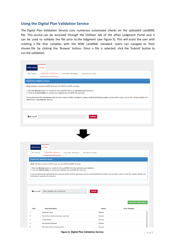## **Using the Digital Plan Validation Service**

The Digital Plan Validation Service runs numerous automated checks on the uploaded LandXML file. This service can be accessed through the 'Utilities' tab of the ePlan Lodgment Portal and it can be used to validate the file prior to the lodgment (see Figure 5). This will assist the user with creating a file that complies with the NSW LandXML standard. Users can navigate to their chosen file by clicking the 'Browse' button. Once a file is selected, click the 'Submit' button to run the validation.

| ePlan Home                             |                                                                                                                                                                         |                           |                                                                                                                                                                |
|----------------------------------------|-------------------------------------------------------------------------------------------------------------------------------------------------------------------------|---------------------------|----------------------------------------------------------------------------------------------------------------------------------------------------------------|
|                                        | <b>Utilities</b>                                                                                                                                                        |                           |                                                                                                                                                                |
| <b>TIF Checker</b>                     | <b>Digital Plan Validation</b>                                                                                                                                          | <b>Land XML Rendering</b> | <b>Plan Revision Date</b>                                                                                                                                      |
| <b>Digital Plan Validation Service</b> |                                                                                                                                                                         |                           |                                                                                                                                                                |
|                                        | Note: All plans created in 2020 must use the 2020 LandXML Schema.                                                                                                       |                           |                                                                                                                                                                |
|                                        | 1. Click the Browse button to search for the LandXML file to be uploaded and validated.<br>2. Click the Submit button to upload and validate the LandXML file selected. |                           |                                                                                                                                                                |
|                                        | information regarding the issue(s).                                                                                                                                     |                           | If you performed the automated tests and you require further assistance, please email DigitalPlans@nswlrs.com.au with a copy of your file, contact details and |
|                                        |                                                                                                                                                                         |                           |                                                                                                                                                                |
|                                        |                                                                                                                                                                         |                           |                                                                                                                                                                |
| <b>Browse*</b>                         |                                                                                                                                                                         |                           | <b>Submit</b>                                                                                                                                                  |
|                                        |                                                                                                                                                                         |                           |                                                                                                                                                                |
|                                        |                                                                                                                                                                         |                           |                                                                                                                                                                |
|                                        |                                                                                                                                                                         |                           |                                                                                                                                                                |
|                                        |                                                                                                                                                                         |                           | JE L                                                                                                                                                           |
|                                        |                                                                                                                                                                         |                           |                                                                                                                                                                |
| ePlan Home                             | <b>Utilities</b>                                                                                                                                                        |                           |                                                                                                                                                                |
| <b>TIF Checker</b>                     | <b>Digital Plan Validation</b>                                                                                                                                          | <b>Land XML Rendering</b> | <b>Plan Revision Date</b>                                                                                                                                      |
|                                        | <b>Digital Plan Validation Service</b>                                                                                                                                  |                           |                                                                                                                                                                |
|                                        |                                                                                                                                                                         |                           |                                                                                                                                                                |
|                                        | Note: All plans created in 2020 must use the 2020 LandXML Schema.                                                                                                       |                           |                                                                                                                                                                |
|                                        | 1. Click the Browse button to search for the LandXML file to be uploaded and validated.                                                                                 |                           |                                                                                                                                                                |
|                                        | 2. Click the Submit button to upload and validate the LandXML file selected.                                                                                            |                           | If you performed the automated tests and you require further assistance, please email DigitalPlans@nswlrs.com.au with a copy of your file, contact details and |
|                                        | information regarding the issue(s).                                                                                                                                     |                           |                                                                                                                                                                |
|                                        |                                                                                                                                                                         |                           |                                                                                                                                                                |
|                                        |                                                                                                                                                                         |                           |                                                                                                                                                                |
| <b>Browse*</b>                         | EPlan_1240389_new_schema.XML                                                                                                                                            |                           | Submit                                                                                                                                                         |
|                                        |                                                                                                                                                                         |                           |                                                                                                                                                                |
|                                        |                                                                                                                                                                         |                           | <b>Download LXML Report</b>                                                                                                                                    |
| Rule                                   | <b>Rule Description</b>                                                                                                                                                 |                           | <b>Status</b><br><b>Error Message</b>                                                                                                                          |
| 1                                      | <b>Schema Check</b>                                                                                                                                                     |                           | <b>Passed</b>                                                                                                                                                  |
| $\overline{2}$                         | Parcel line check (minimum one line)                                                                                                                                    |                           | <b>Passed</b>                                                                                                                                                  |
| 3<br>4                                 | <b>Urban/Rural</b><br>Surveyed/Compiled                                                                                                                                 |                           | <b>Passed</b><br><b>Passed</b>                                                                                                                                 |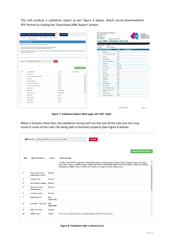This will produce a validation report as per Figure 6 below, which can be downloaded in PDF format by clicking the 'Download LXML Report' button.

| ePlan Home<br><b>TIF Checker</b> | Re-Lodge your Plan<br>Request a PPN<br>myPlans<br>Lodge your Plan<br><b>Digital Plan Validation</b><br>Land XML Rendering<br><b>Plan Revision Date</b><br><b>Digital Plan Validation Service</b><br>Note: All plans created in 2020 must use the 2020 LandXML Schema.<br>1. Click the Browse button to search for the LandXML file to be uploaded and validated.<br>2. Click the Submit button to upload and validate the LandXML file selected.<br>If you performed the automated tests and you require further assistance, please email DigitalPlans@nswirs.com.au with a copy of your file, contact details and<br>information regarding the issue(s). | Utilities Lodgment History |                                  | GPO BOX 15<br>Sydney NSW 2001<br>DX 17 SYDNEY<br><b>Validation Result</b><br><b>File Name</b><br>$\blacksquare$<br>$\overline{2}$<br>$\mathbf{3}$ | ABN: 23 519 493 925<br># Rule: Rule Description:<br><b>Schema Check</b><br><b>Urban/Rural</b> | <b>NSW LAND REGISTRY SERVICES</b><br>Telephone: 02 8776 3575<br>Accepted<br>EPlan_1240389_new<br>Parcel line check (minimum one line) | <b>Land XML Validation Results</b><br>Status:<br><b>Error Message</b><br>Passed<br>Passed<br>Passed | <b>NSW</b> | LAND<br>RFG<br><b>SERVICES</b> |
|----------------------------------|-----------------------------------------------------------------------------------------------------------------------------------------------------------------------------------------------------------------------------------------------------------------------------------------------------------------------------------------------------------------------------------------------------------------------------------------------------------------------------------------------------------------------------------------------------------------------------------------------------------------------------------------------------------|----------------------------|----------------------------------|---------------------------------------------------------------------------------------------------------------------------------------------------|-----------------------------------------------------------------------------------------------|---------------------------------------------------------------------------------------------------------------------------------------|-----------------------------------------------------------------------------------------------------|------------|--------------------------------|
|                                  |                                                                                                                                                                                                                                                                                                                                                                                                                                                                                                                                                                                                                                                           |                            |                                  | $\blacktriangleleft$                                                                                                                              | Surveyed/Compiled                                                                             |                                                                                                                                       | Passed                                                                                              |            |                                |
| <b>Browse*</b>                   | EPlan_1240389_new_schema.XML<br>Submit                                                                                                                                                                                                                                                                                                                                                                                                                                                                                                                                                                                                                    |                            |                                  | 5                                                                                                                                                 | Misclose & Area calculation(s)                                                                |                                                                                                                                       | Passed                                                                                              |            |                                |
|                                  |                                                                                                                                                                                                                                                                                                                                                                                                                                                                                                                                                                                                                                                           |                            |                                  | 6                                                                                                                                                 | <b>Lot Area exists</b>                                                                        |                                                                                                                                       | Passed                                                                                              |            |                                |
|                                  |                                                                                                                                                                                                                                                                                                                                                                                                                                                                                                                                                                                                                                                           |                            |                                  | $\tau$                                                                                                                                            | <b>SCIMS Sketch</b>                                                                           |                                                                                                                                       | NotApolicable                                                                                       |            |                                |
|                                  |                                                                                                                                                                                                                                                                                                                                                                                                                                                                                                                                                                                                                                                           |                            | <b>Download LXML Report</b>      | 8                                                                                                                                                 | Lot Area - Part Lots                                                                          |                                                                                                                                       | NotApplicable                                                                                       |            |                                |
|                                  |                                                                                                                                                                                                                                                                                                                                                                                                                                                                                                                                                                                                                                                           |                            |                                  | $\bullet$                                                                                                                                         | Date of Survey                                                                                |                                                                                                                                       | Passed                                                                                              |            |                                |
| Rule                             | <b>Rule Description</b>                                                                                                                                                                                                                                                                                                                                                                                                                                                                                                                                                                                                                                   | <b>Status</b>              | <b>Error Message</b><br>$\Delta$ | 10                                                                                                                                                | <b>SCIMS data</b>                                                                             |                                                                                                                                       | Passed                                                                                              |            |                                |
|                                  | <b>Schema Check</b>                                                                                                                                                                                                                                                                                                                                                                                                                                                                                                                                                                                                                                       | Passed                     |                                  | 11                                                                                                                                                | <b>Datum Terminals</b>                                                                        |                                                                                                                                       | Passed                                                                                              |            |                                |
| $\overline{2}$                   | Parcel line check (minimum one line)                                                                                                                                                                                                                                                                                                                                                                                                                                                                                                                                                                                                                      | Passed                     |                                  | 12                                                                                                                                                | Datum bearing                                                                                 |                                                                                                                                       | Passed                                                                                              |            |                                |
| 3                                | Urban/Rural                                                                                                                                                                                                                                                                                                                                                                                                                                                                                                                                                                                                                                               | Passed                     |                                  | 13                                                                                                                                                | Datum distance                                                                                |                                                                                                                                       | Passed                                                                                              |            |                                |
| 4                                | Surveyed/Compiled                                                                                                                                                                                                                                                                                                                                                                                                                                                                                                                                                                                                                                         | Passed                     |                                  | 14                                                                                                                                                | <b>SCIMS</b> date                                                                             |                                                                                                                                       | Passed                                                                                              |            |                                |
| 5                                | Misclose & Area calculation(s)                                                                                                                                                                                                                                                                                                                                                                                                                                                                                                                                                                                                                            | Passed                     |                                  | 15                                                                                                                                                | Control Connection(s)                                                                         |                                                                                                                                       | Passed                                                                                              |            |                                |
| 6                                | <b>Control Traverse Loop Misclose</b>                                                                                                                                                                                                                                                                                                                                                                                                                                                                                                                                                                                                                     | Passed                     |                                  | 16                                                                                                                                                | <b>Datum Verification</b>                                                                     |                                                                                                                                       | Passed                                                                                              |            |                                |
| $\overline{ }$                   | Lot Area exists                                                                                                                                                                                                                                                                                                                                                                                                                                                                                                                                                                                                                                           | Passed                     |                                  | 17                                                                                                                                                |                                                                                               | Number of SCIMS marks required                                                                                                        | Passed                                                                                              |            |                                |
| 8                                | <b>SCIMS Sketch</b>                                                                                                                                                                                                                                                                                                                                                                                                                                                                                                                                                                                                                                       | <b>Not Applicable</b>      |                                  | 18                                                                                                                                                | required                                                                                      | Number of placed SCIMS marks                                                                                                          | Passed                                                                                              |            |                                |
| $\mathbf{9}$                     | Lot Area - Part Lots                                                                                                                                                                                                                                                                                                                                                                                                                                                                                                                                                                                                                                      | <b>Not Applicable</b>      |                                  | 19                                                                                                                                                | <b>Combined Scale Factor</b>                                                                  |                                                                                                                                       | Passed                                                                                              |            |                                |
| 10                               | Date of Survey                                                                                                                                                                                                                                                                                                                                                                                                                                                                                                                                                                                                                                            | Passed                     |                                  | 20                                                                                                                                                | <b>Permanent Mark connections</b>                                                             |                                                                                                                                       | Passed                                                                                              |            |                                |
| $\mathbf{u}$                     | <b>Datum Terminals</b>                                                                                                                                                                                                                                                                                                                                                                                                                                                                                                                                                                                                                                    | Passed                     |                                  |                                                                                                                                                   |                                                                                               |                                                                                                                                       |                                                                                                     |            |                                |
| 12                               | <b>Datum bearing</b>                                                                                                                                                                                                                                                                                                                                                                                                                                                                                                                                                                                                                                      | Passed                     |                                  |                                                                                                                                                   |                                                                                               |                                                                                                                                       |                                                                                                     |            |                                |
| 13                               | <b>Datum distance</b>                                                                                                                                                                                                                                                                                                                                                                                                                                                                                                                                                                                                                                     | Passed                     |                                  |                                                                                                                                                   |                                                                                               |                                                                                                                                       |                                                                                                     |            |                                |
| $\ddot{\phantom{a}}$             | <b>ANTINER</b>                                                                                                                                                                                                                                                                                                                                                                                                                                                                                                                                                                                                                                            | $-$                        | $\overline{\mathbf v}$           |                                                                                                                                                   |                                                                                               |                                                                                                                                       |                                                                                                     |            |                                |
|                                  |                                                                                                                                                                                                                                                                                                                                                                                                                                                                                                                                                                                                                                                           |                            |                                  |                                                                                                                                                   |                                                                                               |                                                                                                                                       | 04/03/2020 15:26:48                                                                                 |            | Page 1 of 1                    |

**Figure 7: Validation Report (Web page: left, PDF: right)**

When a Schema check fails, the validation service will run the rest of the rules but this may result in some of the rules not being able to function properly (See Figure 6 below)

|                 | <b>FBrowse</b>                                 | EPlan_1240389_new_schema_error.XML | <b>Submit</b>                                                                                                                                                                                                                                                                                          |
|-----------------|------------------------------------------------|------------------------------------|--------------------------------------------------------------------------------------------------------------------------------------------------------------------------------------------------------------------------------------------------------------------------------------------------------|
| Rule            | <b>Rule Description</b>                        | <b>Status</b>                      | <b>Download LXML Report</b><br><b>Error Message</b>                                                                                                                                                                                                                                                    |
|                 |                                                |                                    | 2. Value 'From SCMS' is not facet-valid with respect to enumeration '[From SCIMS, Cadastral Traverse, Scaled<br>From Map, Policy 3, AUSPOS, Static GNSS, RTK GNSS, CORS NRTK GNSS, CORS RTK GNSS, CORS Static GNSS,<br>Autonomous GNSS, Policy 4, Policy 5]'. It must be a value from the enumeration. |
| $\overline{2}$  | <b>Parcel line check</b><br>(minimum one line) | <b>Passed</b>                      |                                                                                                                                                                                                                                                                                                        |
| 3               | Urban/Rural                                    | <b>Passed</b>                      |                                                                                                                                                                                                                                                                                                        |
| 4               | <b>Surveyed/Compiled</b>                       | Passed                             |                                                                                                                                                                                                                                                                                                        |
| 5               | <b>Misclose &amp; Area</b><br>calculation(s)   | <b>Passed</b>                      |                                                                                                                                                                                                                                                                                                        |
| 6               | <b>Lot Area exists</b>                         | <b>Passed</b>                      |                                                                                                                                                                                                                                                                                                        |
| 7               | <b>SCIMS Sketch</b>                            | <b>Not</b><br><b>Applicable</b>    |                                                                                                                                                                                                                                                                                                        |
| 8               | Lot Area - Part Lots                           | <b>Not</b><br><b>Applicable</b>    |                                                                                                                                                                                                                                                                                                        |
| 9               | <b>Date of Survey</b>                          | <b>Passed</b>                      |                                                                                                                                                                                                                                                                                                        |
| 10 <sup>°</sup> | <b>SCIMS</b> data                              | <b>Failed</b>                      | 1. This rule could not be run as required parts of the file are missing                                                                                                                                                                                                                                |